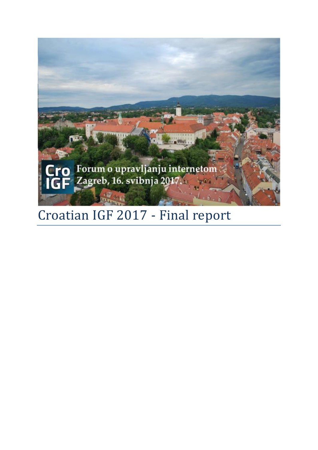

# Croatian IGF 2017 - Final report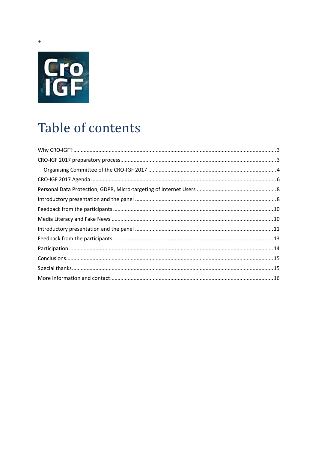

# Table of contents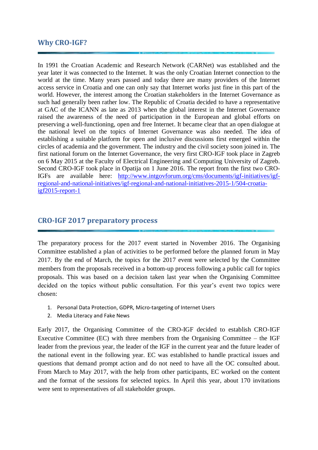### <span id="page-2-0"></span>**Why CRO-IGF?**

In 1991 the Croatian Academic and Research Network (CARNet) was established and the year later it was connected to the Internet. It was the only Croatian Internet connection to the world at the time. Many years passed and today there are many providers of the Internet access service in Croatia and one can only say that Internet works just fine in this part of the world. However, the interest among the Croatian stakeholders in the Internet Governance as such had generally been rather low. The Republic of Croatia decided to have a representative at GAC of the ICANN as late as 2013 when the global interest in the Internet Governance raised the awareness of the need of participation in the European and global efforts on preserving a well-functioning, open and free Internet. It became clear that an open dialogue at the national level on the topics of Internet Governance was also needed. The idea of establishing a suitable platform for open and inclusive discussions first emerged within the circles of academia and the government. The industry and the civil society soon joined in. The first national forum on the Internet Governance, the very first CRO-IGF took place in Zagreb on 6 May 2015 at the Faculty of Electrical Engineering and Computing University of Zagreb. Second CRO-IGF took place in Opatija on 1 June 2016. The report from the first two CRO-IGFs are available here: [http://www.intgovforum.org/cms/documents/igf-initiatives/igf](http://www.intgovforum.org/cms/documents/igf-initiatives/igf-regional-and-national-initiatives/igf-regional-and-national-initiatives-2015-1/504-croatia-igf2015-report-1)[regional-and-national-initiatives/igf-regional-and-national-initiatives-2015-1/504-croatia](http://www.intgovforum.org/cms/documents/igf-initiatives/igf-regional-and-national-initiatives/igf-regional-and-national-initiatives-2015-1/504-croatia-igf2015-report-1)[igf2015-report-1](http://www.intgovforum.org/cms/documents/igf-initiatives/igf-regional-and-national-initiatives/igf-regional-and-national-initiatives-2015-1/504-croatia-igf2015-report-1)

#### <span id="page-2-1"></span>**CRO-IGF 2017 preparatory process**

The preparatory process for the 2017 event started in November 2016. The Organising Committee established a plan of activities to be performed before the planned forum in May 2017. By the end of March, the topics for the 2017 event were selected by the Committee members from the proposals received in a bottom-up process following a public call for topics proposals. This was based on a decision taken last year when the Organising Committee decided on the topics without public consultation. For this year's event two topics were chosen:

- 1. Personal Data Protection, GDPR, Micro-targeting of Internet Users
- 2. Media Literacy and Fake News

Early 2017, the Organising Committee of the CRO-IGF decided to establish CRO-IGF Executive Committee (EC) with three members from the Organising Committee – the IGF leader from the previous year, the leader of the IGF in the current year and the future leader of the national event in the following year. EC was established to handle practical issues and questions that demand prompt action and do not need to have all the OC consulted about. From March to May 2017, with the help from other participants, EC worked on the content and the format of the sessions for selected topics. In April this year, about 170 invitations were sent to representatives of all stakeholder groups.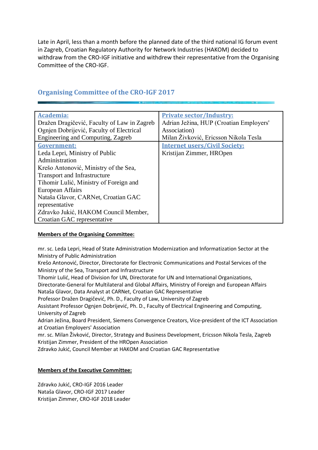Late in April, less than a month before the planned date of the third national IG forum event in Zagreb, Croatian Regulatory Authority for Network Industries (HAKOM) decided to withdraw from the CRO-IGF initiative and withdrew their representative from the Organising Committee of the CRO-IGF.

| <b>Academia:</b>                            | <b>Private sector/Industry:</b>         |
|---------------------------------------------|-----------------------------------------|
| Dražen Dragičević, Faculty of Law in Zagreb | Adrian Ježina, HUP (Croatian Employers' |
| Ognien Dobrijević, Faculty of Electrical    | Association)                            |
| Engineering and Computing, Zagreb           | Milan Živković, Ericsson Nikola Tesla   |
| Government:                                 | <b>Internet users/Civil Society:</b>    |
| Leda Lepri, Ministry of Public              | Kristijan Zimmer, HROpen                |
| Administration                              |                                         |
| Krešo Antonović, Ministry of the Sea,       |                                         |
| <b>Transport and Infrastructure</b>         |                                         |
| Tihomir Lulić, Ministry of Foreign and      |                                         |
| European Affairs                            |                                         |
| Nataša Glavor, CARNet, Croatian GAC         |                                         |
| representative                              |                                         |
| Zdravko Jukić, HAKOM Council Member,        |                                         |
| Croatian GAC representative                 |                                         |

## <span id="page-3-0"></span>**Organising Committee of the CRO-IGF 2017**

#### **Members of the Organising Committee:**

mr. sc. Leda Lepri, Head of State Administration Modernization and Informatization Sector at the Ministry of Public Administration

Krešo Antonović, Director, Directorate for Electronic Communications and Postal Services of the Ministry of the Sea, Transport and Infrastructure

Tihomir Lulić, Head of Division for UN, Directorate for UN and International Organizations,

Directorate-General for Multilateral and Global Affairs, Ministry of Foreign and European Affairs Nataša Glavor, Data Analyst at CARNet, Croatian GAC Representative

Professor Dražen Dragičević, Ph. D., Faculty of Law, University of Zagreb

Assistant Professor Ognjen Dobrijević, Ph. D., Faculty of Electrical Engineering and Computing, University of Zagreb

Adrian Ježina, Board President, Siemens Convergence Creators, Vice-president of the ICT Association at Croatian Employers' Association

mr. sc. Milan Živković, Director, Strategy and Business Development, Ericsson Nikola Tesla, Zagreb Kristijan Zimmer, President of the HROpen Association

Zdravko Jukić, Council Member at HAKOM and Croatian GAC Representative

#### **Members of the Executive Committee:**

Zdravko Jukić, CRO-IGF 2016 Leader Nataša Glavor, CRO-IGF 2017 Leader Kristijan Zimmer, CRO-IGF 2018 Leader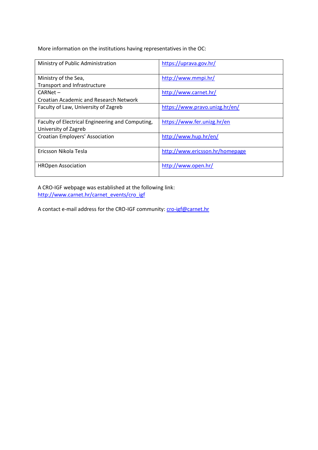More information on the institutions having representatives in the OC:

| Ministry of Public Administration                | https://uprava.gov.hr/          |
|--------------------------------------------------|---------------------------------|
|                                                  |                                 |
| Ministry of the Sea,                             | http://www.mmpi.hr/             |
| Transport and Infrastructure                     |                                 |
| $CARNet -$                                       | http://www.carnet.hr/           |
| Croatian Academic and Research Network           |                                 |
| Faculty of Law, University of Zagreb             | https://www.pravo.unizg.hr/en/  |
|                                                  |                                 |
| Faculty of Electrical Engineering and Computing, | https://www.fer.unizg.hr/en     |
| University of Zagreb                             |                                 |
| Croatian Employers' Association                  | http://www.hup.hr/en/           |
|                                                  |                                 |
| Ericsson Nikola Tesla                            | http://www.ericsson.hr/homepage |
|                                                  |                                 |
| <b>HROpen Association</b>                        | http://www.open.hr/             |
|                                                  |                                 |

A CRO-IGF webpage was established at the following link: [http://www.carnet.hr/carnet\\_events/cro\\_igf](http://www.carnet.hr/carnet_events/cro_igf)

A contact e-mail address for the CRO-IGF community: [cro-igf@carnet.hr](mailto:cro-igf@carnet.hr)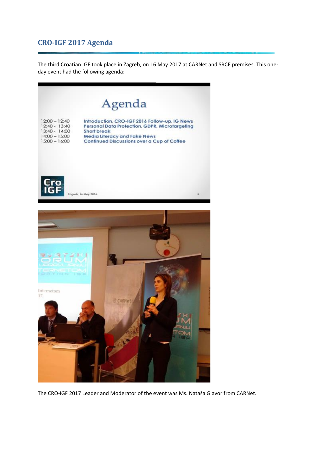## <span id="page-5-0"></span>**CRO-IGF 2017 Agenda**

The third Croatian IGF took place in Zagreb, on 16 May 2017 at CARNet and SRCE premises. This oneday event had the following agenda:





The CRO-IGF 2017 Leader and Moderator of the event was Ms. Nataša Glavor from CARNet.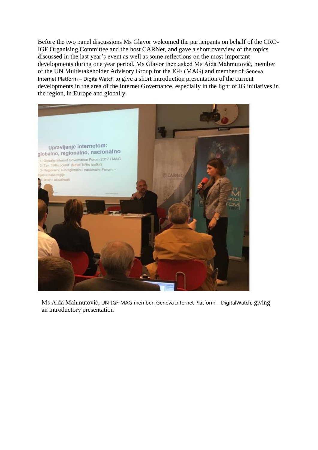Before the two panel discussions Ms Glavor welcomed the participants on behalf of the CRO-IGF Organising Committee and the host CARNet, and gave a short overview of the topics discussed in the last year's event as well as some reflections on the most important developments during one year period. Ms Glavor then asked Ms Aida Mahmutović, member of the UN Multistakeholder Advisory Group for the IGF (MAG) and member of Geneva Internet Platform – DigitalWatch to give a short introduction presentation of the current developments in the area of the Internet Governance, especially in the light of IG initiatives in the region, in Europe and globally.



Ms Aida Mahmutović, UN-IGF MAG member, Geneva Internet Platform – DigitalWatch, giving an introductory presentation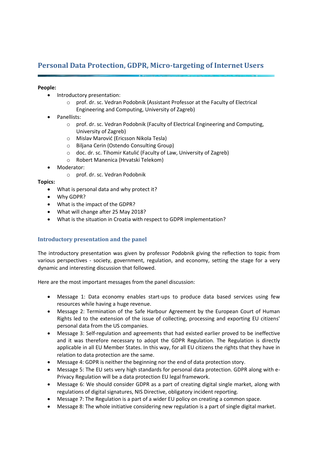## <span id="page-7-0"></span>**Personal Data Protection, GDPR, Micro-targeting of Internet Users**

#### **People:**

- Introductory presentation:
	- o prof. dr. sc. Vedran Podobnik (Assistant Professor at the Faculty of Electrical Engineering and Computing, University of Zagreb)
- Panellists:
	- o prof. dr. sc. Vedran Podobnik (Faculty of Electrical Engineering and Computing, University of Zagreb)
	- o Mislav Marović (Ericsson Nikola Tesla)
	- o Biljana Cerin (Ostendo Consulting Group)
	- o doc. dr. sc. Tihomir Katulić (Faculty of Law, University of Zagreb)
	- o Robert Manenica (Hrvatski Telekom)
- Moderator:
	- o prof. dr. sc. Vedran Podobnik

#### **Topics:**

- What is personal data and why protect it?
- Why GDPR?
- What is the impact of the GDPR?
- What will change after 25 May 2018?
- <span id="page-7-1"></span>• What is the situation in Croatia with respect to GDPR implementation?

#### **Introductory presentation and the panel**

The introductory presentation was given by professor Podobnik giving the reflection to topic from various perspectives - society, government, regulation, and economy, setting the stage for a very dynamic and interesting discussion that followed.

Here are the most important messages from the panel discussion:

- Message 1: Data economy enables start-ups to produce data based services using few resources while having a huge revenue.
- Message 2: Termination of the Safe Harbour Agreement by the European Court of Human Rights led to the extension of the issue of collecting, processing and exporting EU citizens' personal data from the US companies.
- Message 3: Self-regulation and agreements that had existed earlier proved to be ineffective and it was therefore necessary to adopt the GDPR Regulation. The Regulation is directly applicable in all EU Member States. In this way, for all EU citizens the rights that they have in relation to data protection are the same.
- Message 4: GDPR is neither the beginning nor the end of data protection story.
- Message 5: The EU sets very high standards for personal data protection. GDPR along with e-Privacy Regulation will be a data protection EU legal framework.
- Message 6: We should consider GDPR as a part of creating digital single market, along with regulations of digital signatures, NIS Directive, obligatory incident reporting.
- Message 7: The Regulation is a part of a wider EU policy on creating a common space.
- Message 8: The whole initiative considering new regulation is a part of single digital market.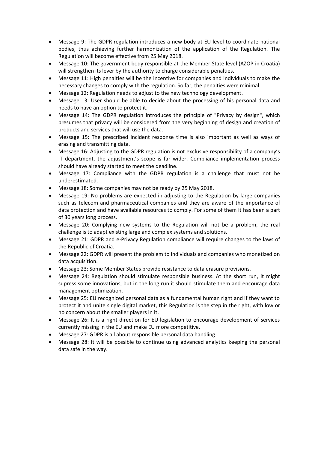- Message 9: The GDPR regulation introduces a new body at EU level to coordinate national bodies, thus achieving further harmonization of the application of the Regulation. The Regulation will become effective from 25 May 2018.
- Message 10: The government body responsible at the Member State level (AZOP in Croatia) will strengthen its lever by the authority to charge considerable penalties.
- Message 11: High penalties will be the incentive for companies and individuals to make the necessary changes to comply with the regulation. So far, the penalties were minimal.
- Message 12: Regulation needs to adjust to the new technology development.
- Message 13: User should be able to decide about the processing of his personal data and needs to have an option to protect it.
- Message 14: The GDPR regulation introduces the principle of "Privacy by design", which presumes that privacy will be considered from the very beginning of design and creation of products and services that will use the data.
- Message 15: The prescribed incident response time is also important as well as ways of erasing and transmitting data.
- Message 16: Adjusting to the GDPR regulation is not exclusive responsibility of a company's IT department, the adjustment's scope is far wider. Compliance implementation process should have already started to meet the deadline.
- Message 17: Compliance with the GDPR regulation is a challenge that must not be underestimated.
- Message 18: Some companies may not be ready by 25 May 2018.
- Message 19: No problems are expected in adjusting to the Regulation by large companies such as telecom and pharmaceutical companies and they are aware of the importance of data protection and have available resources to comply. For some of them it has been a part of 30 years long process.
- Message 20: Complying new systems to the Regulation will not be a problem, the real challenge is to adapt existing large and complex systems and solutions.
- Message 21: GDPR and e-Privacy Regulation compliance will require changes to the laws of the Republic of Croatia.
- Message 22: GDPR will present the problem to individuals and companies who monetized on data acquisition.
- Message 23: Some Member States provide resistance to data erasure provisions.
- Message 24: Regulation should stimulate responsible business. At the short run, it might supress some innovations, but in the long run it should stimulate them and encourage data management optimization.
- Message 25: EU recognized personal data as a fundamental human right and if they want to protect it and unite single digital market, this Regulation is the step in the right, with low or no concern about the smaller players in it.
- Message 26: It is a right direction for EU legislation to encourage development of services currently missing in the EU and make EU more competitive.
- Message 27: GDPR is all about responsible personal data handling.
- Message 28: It will be possible to continue using advanced analytics keeping the personal data safe in the way.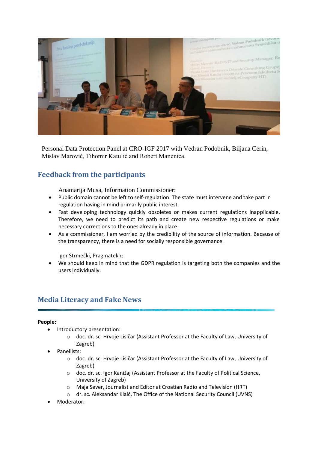

Personal Data Protection Panel at CRO-IGF 2017 with Vedran Podobnik, Biljana Cerin, Mislav Marović, Tihomir Katulić and Robert Manenica.

# <span id="page-9-0"></span>**Feedback from the participants**

Anamarija Musa, Information Commissioner:

- Public domain cannot be left to self-regulation. The state must intervene and take part in regulation having in mind primarily public interest.
- Fast developing technology quickly obsoletes or makes current regulations inapplicable. Therefore, we need to predict its path and create new respective regulations or make necessary corrections to the ones already in place.
- As a commissioner, I am worried by the credibility of the source of information. Because of the transparency, there is a need for socially responsible governance.

Igor Strmečki, Pragmatekh:

• We should keep in mind that the GDPR regulation is targeting both the companies and the users individually.

### <span id="page-9-1"></span>**Media Literacy and Fake News**

#### **People:**

- Introductory presentation:
	- o doc. dr. sc. Hrvoje Lisičar (Assistant Professor at the Faculty of Law, University of Zagreb)
- Panellists:
	- o doc. dr. sc. Hrvoje Lisičar (Assistant Professor at the Faculty of Law, University of Zagreb)
	- o doc. dr. sc. Igor Kanižaj (Assistant Professor at the Faculty of Political Science, University of Zagreb)
	- o Maja Sever, Journalist and Editor at Croatian Radio and Television (HRT)
	- o dr. sc. Aleksandar Klaić, The Office of the National Security Council (UVNS)
- Moderator: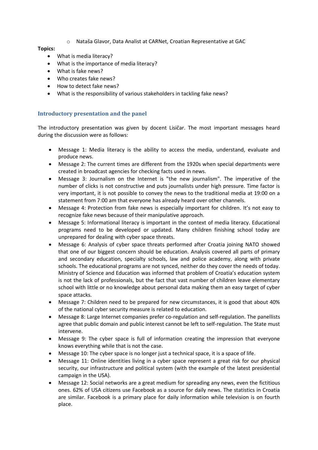o Nataša Glavor, Data Analist at CARNet, Croatian Representative at GAC

#### **Topics:**

- What is media literacy?
- What is the importance of media literacy?
- What is fake news?
- Who creates fake news?
- How to detect fake news?
- <span id="page-10-0"></span>• What is the responsibility of various stakeholders in tackling fake news?

#### **Introductory presentation and the panel**

The introductory presentation was given by docent Lisičar. The most important messages heard during the discussion were as follows:

- Message 1: Media literacy is the ability to access the media, understand, evaluate and produce news.
- Message 2: The current times are different from the 1920s when special departments were created in broadcast agencies for checking facts used in news.
- Message 3: Journalism on the Internet is "the new journalism". The imperative of the number of clicks is not constructive and puts journalists under high pressure. Time factor is very important, it is not possible to convey the news to the traditional media at 19:00 on a statement from 7:00 am that everyone has already heard over other channels.
- Message 4: Protection from fake news is especially important for children. It's not easy to recognize fake news because of their manipulative approach.
- Message 5: Informational literacy is important in the context of media literacy. Educational programs need to be developed or updated. Many children finishing school today are unprepared for dealing with cyber space threats.
- Message 6: Analysis of cyber space threats performed after Croatia joining NATO showed that one of our biggest concern should be education. Analysis covered all parts of primary and secondary education, specialty schools, law and police academy, along with private schools. The educational programs are not synced, neither do they cover the needs of today. Ministry of Science and Education was informed that problem of Croatia's education system is not the lack of professionals, but the fact that vast number of children leave elementary school with little or no knowledge about personal data making them an easy target of cyber space attacks.
- Message 7: Children need to be prepared for new circumstances, it is good that about 40% of the national cyber security measure is related to education.
- Message 8: Large Internet companies prefer co-regulation and self-regulation. The panellists agree that public domain and public interest cannot be left to self-regulation. The State must intervene.
- Message 9: The cyber space is full of information creating the impression that everyone knows everything while that is not the case.
- Message 10: The cyber space is no longer just a technical space, it is a space of life.
- Message 11: Online identities living in a cyber space represent a great risk for our physical security, our infrastructure and political system (with the example of the latest presidential campaign in the USA).
- Message 12: Social networks are a great medium for spreading any news, even the fictitious ones. 62% of USA citizens use Facebook as a source for daily news. The statistics in Croatia are similar. Facebook is a primary place for daily information while television is on fourth place.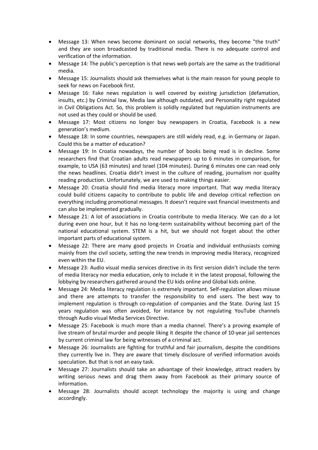- Message 13: When news become dominant on social networks, they become "the truth" and they are soon broadcasted by traditional media. There is no adequate control and verification of the information.
- Message 14: The public's perception is that news web portals are the same as the traditional media.
- Message 15: Journalists should ask themselves what is the main reason for young people to seek for news on Facebook first.
- Message 16: Fake news regulation is well covered by existing jurisdiction (defamation, insults, etc.) by Criminal law, Media law although outdated, and Personality right regulated in Civil Obligations Act. So, this problem is solidly regulated but regulation instruments are not used as they could or should be used.
- Message 17: Most citizens no longer buy newspapers in Croatia, Facebook is a new generation's medium.
- Message 18: In some countries, newspapers are still widely read, e.g. in Germany or Japan. Could this be a matter of education?
- Message 19: In Croatia nowadays, the number of books being read is in decline. Some researchers find that Croatian adults read newspapers up to 6 minutes in comparison, for example, to USA (63 minutes) and Israel (104 minutes). During 6 minutes one can read only the news headlines. Croatia didn't invest in the culture of reading, journalism nor quality reading production. Unfortunately, we are used to making things easier.
- Message 20: Croatia should find media literacy more important. That way media literacy could build citizens capacity to contribute to public life and develop critical reflection on everything including promotional messages. It doesn't require vast financial investments and can also be implemented gradually.
- Message 21: A lot of associations in Croatia contribute to media literacy. We can do a lot during even one hour, but it has no long-term sustainability without becoming part of the national educational system. STEM is a hit, but we should not forget about the other important parts of educational system.
- Message 22: There are many good projects in Croatia and individual enthusiasts coming mainly from the civil society, setting the new trends in improving media literacy, recognized even within the EU.
- Message 23: Audio visual media services directive in its first version didn't include the term of media literacy nor media education, only to include it in the latest proposal, following the lobbying by researchers gathered around the EU kids online and Global kids online.
- Message 24: Media literacy regulation is extremely important. Self-regulation allows misuse and there are attempts to transfer the responsibility to end users. The best way to implement regulation is through co-regulation of companies and the State. During last 15 years regulation was often avoided, for instance by not regulating YouTube channels through Audio visual Media Services Directive.
- Message 25: Facebook is much more than a media channel. There's a proving example of live stream of brutal murder and people liking it despite the chance of 10-year jail sentences by current criminal law for being witnesses of a criminal act.
- Message 26: Journalists are fighting for truthful and fair journalism, despite the conditions they currently live in. They are aware that timely disclosure of verified information avoids speculation. But that is not an easy task.
- Message 27: Journalists should take an advantage of their knowledge, attract readers by writing serious news and drag them away from Facebook as their primary source of information.
- Message 28: Journalists should accept technology the majority is using and change accordingly.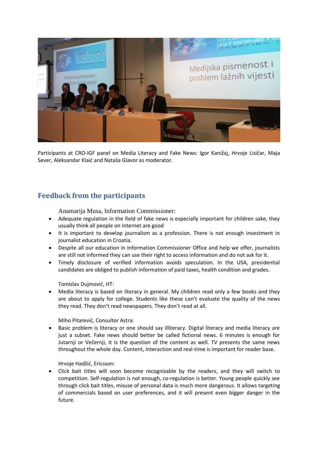

Participants at CRO-IGF panel on Media Literacy and Fake News: Igor Kanižaj, Hrvoje Lisičar, Maja Sever, Aleksandar Klaić and Nataša Glavor as moderator.

# <span id="page-12-0"></span>**Feedback from the participants**

Anamarija Musa, Information Commissioner:

- Adequate regulation in the field of fake news is especially important for children sake, they usually think all people on Internet are good
- It is important to develop journalism as a profession. There is not enough investment in journalist education in Croatia.
- Despite all our education in Information Commissioner Office and help we offer, journalists are still not informed they can use their right to access information and do not ask for it.
- Timely disclosure of verified information avoids speculation. In the USA, presidential candidates are obliged to publish information of paid taxes, health condition and grades.

Tomislav Dujmović, HT:

Media literacy is based on literacy in general. My children read only a few books and they are about to apply for college. Students like these can't evaluate the quality of the news they read. They don't read newspapers. They don't read at all.

Miho Pitarević, Consultor Astra:

• Basic problem is literacy or one should say illiteracy. Digital literacy and media literacy are just a subset. Fake news should better be called fictional news. 6 minutes is enough for Jutarnji or Večernji, it is the question of the content as well. TV presents the same news throughout the whole day. Content, interaction and real-time is important for reader base.

Hrvoje Hadžić, Ericsson:

• Click bait titles will soon become recognizable by the readers, and they will switch to competition. Self-regulation is not enough, co-regulation is better. Young people quickly see through click bait titles, misuse of personal data is much more dangerous. It allows targeting of commercials based on user preferences, and it will present even bigger danger in the future.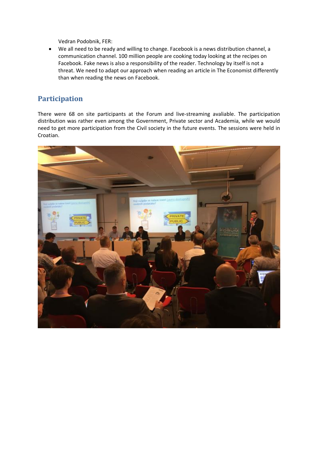Vedran Podobnik, FER:

• We all need to be ready and willing to change. Facebook is a news distribution channel, a communication channel. 100 million people are cooking today looking at the recipes on Facebook. Fake news is also a responsibility of the reader. Technology by itself is not a threat. We need to adapt our approach when reading an article in The Economist differently than when reading the news on Facebook.

## <span id="page-13-0"></span>**Participation**

There were 68 on site participants at the Forum and live-streaming avaliable. The participation distribution was rather even among the Government, Private sector and Academia, while we would need to get more participation from the Civil society in the future events. The sessions were held in Croatian.

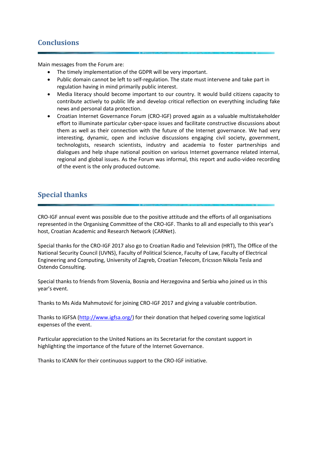## <span id="page-14-0"></span>**Conclusions**

Main messages from the Forum are:

- The timely implementation of the GDPR will be very important.
- Public domain cannot be left to self-regulation. The state must intervene and take part in regulation having in mind primarily public interest.
- Media literacy should become important to our country. It would build citizens capacity to contribute actively to public life and develop critical reflection on everything including fake news and personal data protection.
- Croatian Internet Governance Forum (CRO-IGF) proved again as a valuable multistakeholder effort to illuminate particular cyber-space issues and facilitate constructive discussions about them as well as their connection with the future of the Internet governance. We had very interesting, dynamic, open and inclusive discussions engaging civil society, government, technologists, research scientists, industry and academia to foster partnerships and dialogues and help shape national position on various Internet governance related internal, regional and global issues. As the Forum was informal, this report and audio-video recording of the event is the only produced outcome.

## <span id="page-14-1"></span>**Special thanks**

CRO-IGF annual event was possible due to the positive attitude and the efforts of all organisations represented in the Organising Committee of the CRO-IGF. Thanks to all and especially to this year's host, Croatian Academic and Research Network (CARNet).

Special thanks for the CRO-IGF 2017 also go to Croatian Radio and Television (HRT), The Office of the National Security Council (UVNS), Faculty of Political Science, Faculty of Law, Faculty of Electrical Engineering and Computing, University of Zagreb, Croatian Telecom, Ericsson Nikola Tesla and Ostendo Consulting.

Special thanks to friends from Slovenia, Bosnia and Herzegovina and Serbia who joined us in this year's event.

Thanks to Ms Aida Mahmutović for joining CRO-IGF 2017 and giving a valuable contribution.

Thanks to IGFSA [\(http://www.igfsa.org/\)](http://www.igfsa.org/) for their donation that helped covering some logistical expenses of the event.

Particular appreciation to the United Nations an its Secretariat for the constant support in highlighting the importance of the future of the Internet Governance.

Thanks to ICANN for their continuous support to the CRO-IGF initiative.